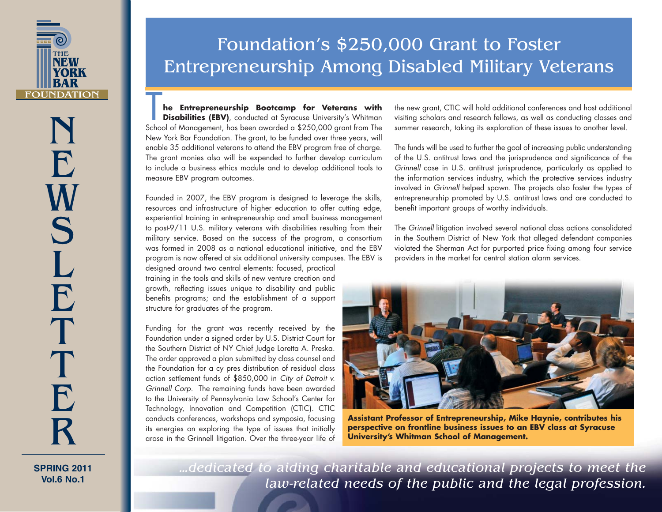

NE**W** S L ETTER

**SPRING 2011Vol.6 No.1**

## Foundation's \$250,000 Grant to Foster Entrepreneurship Among Disabled Military Veterans

**he Entrepreneurship Bootcamp for Veterans with Disabilities (EBV)**, conducted at Syracuse University's Whitman School of Management, has been awarded a \$250,000 grant from The New York Bar Foundation. The grant, to be funded over three years, will enable 35 additional veterans to attend the EBV program free of charge. The grant monies also will be expended to further develop curriculum to include a business ethics module and to develop additional tools to measure EBV program outcomes.

Founded in 2007, the EBV program is designed to leverage the skills, resources and infrastructure of higher education to offer cutting edge, experiential training in entrepreneurship and small business management to post-9/11 U.S. military veterans with disabilities resulting from their military service. Based on the success of the program, a consortium was formed in 2008 as a national educational initiative, and the EBV program is now offered at six additional university campuses. The EBV is

designed around two central elements: focused, practical training in the tools and skills of new venture creation and growth, reflecting issues unique to disability and public benefits programs; and the establishment of a support structure for graduates of the program.

Funding for the grant was recently received by the Foundation under a signed order by U.S. District Court for the Southern District of NY Chief Judge Loretta A. Preska. The order approved a plan submitted by class counsel and the Foundation for a cy pres distribution of residual class action settlement funds of \$850,000 in *City of Detroit v. Grinnell Corp.* The remaining funds have been awarded to the University of Pennsylvania Law School's Center for Technology, Innovation and Competition (CTIC). CTIC conducts conferences, workshops and symposia, focusing its energies on exploring the type of issues that initially arose in the Grinnell litigation. Over the three-year life of the new grant, CTIC will hold additional conferences and host additional visiting scholars and research fellows, as well as conducting classes and summer research, taking its exploration of these issues to another level.

The funds will be used to further the goal of increasing public understanding of the U.S. antitrust laws and the jurisprudence and significance of the *Grinnell* case in U.S. antitrust jurisprudence, particularly as applied to the information services industry, which the protective services industry involved in *Grinnell* helped spawn. The projects also foster the types of entrepreneurship promoted by U.S. antitrust laws and are conducted to benefit important groups of worthy individuals.

The *Grinnell* litigation involved several national class actions consolidated in the Southern District of New York that alleged defendant companies violated the Sherman Act for purported price fixing among four service providers in the market for central station alarm services.



**Assistant Professor of Entrepreneurship, Mike Haynie, contributes his perspective on frontline business issues to an EBV class at Syracuse University's Whitman School of Management.**

*…dedicated to aiding charitable and educational projects to meet the law-related needs of the public and the legal profession.*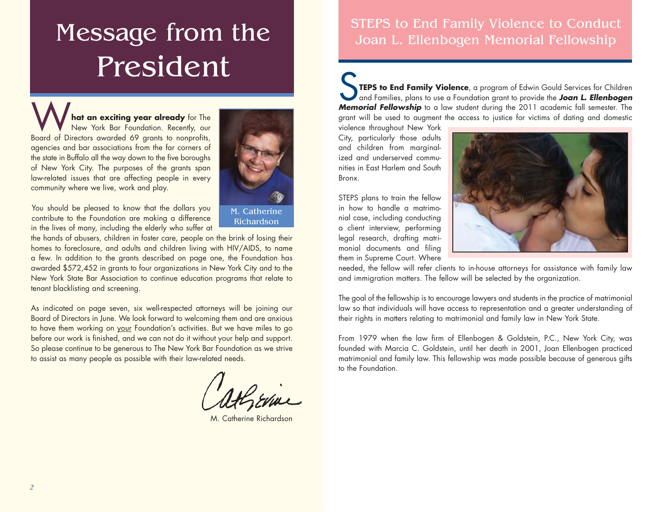# Message from the President

**hat an exciting year already** for The New York Bar Foundation. Recently, our Board of Directors awarded 69 grants to nonprofits, agencies and bar associations from the far corners of the state in Buffalo all the way down to the five boroughs of New York City. The purposes of the grants span law-related issues that are affecting people in every community where we live, work and play.



Richardson

You should be pleased to know that the dollars you contribute to the Foundation are making a difference in the lives of many, including the elderly who suffer at

the hands of abusers, children in foster care, people on the brink of losing their homes to foreclosure, and adults and children living with HIV/AIDS, to name a few. In addition to the grants described on page one, the Foundation has awarded \$572,452 in grants to four organizations in New York City and to the New York State Bar Association to continue education programs that relate to tenant blacklisting and screening.

As indicated on page seven, six well-respected attorneys will be joining our Board of Directors in June. We look forward to welcoming them and are anxious to have them working on your Foundation's activities. But we have miles to go before our work is finished, and we can not do it without your help and support. So please continue to be generous to The New York Bar Foundation as we strive to assist as many people as possible with their law-related needs.

M. Catherine Richardson

#### STEPS to End Family Violence to Conduct Joan L. Ellenbogen Memorial Fellowship

S**TEPS to End Family Violence**, a program of Edwin Gould Services for Children and Families, plans to use a Foundation grant to provide the *Joan L. Ellenbogen Memorial Fellowship* to a law student during the 2011 academic fall semester. The grant will be used to augment the access to justice for victims of dating and domestic

violence throughout New York City, particularly those adults and children from marginalized and underserved communities in East Harlem and South Bronx.

STEPS plans to train the fellow in how to handle a matrimonial case, including conducting a client interview, performing legal research, drafting matrimonial documents and filing them in Supreme Court. Where



needed, the fellow will refer clients to in-house attorneys for assistance with family law and immigration matters. The fellow will be selected by the organization.

The goal of the fellowship is to encourage lawyers and students in the practice of matrimonial law so that individuals will have access to representation and a greater understanding of their rights in matters relating to matrimonial and family law in New York State.

From 1979 when the law firm of Ellenbogen & Goldstein, P.C., New York City, was founded with Marcia C. Goldstein, until her death in 2001, Joan Ellenbogen practiced matrimonial and family law. This fellowship was made possible because of generous gifts to the Foundation.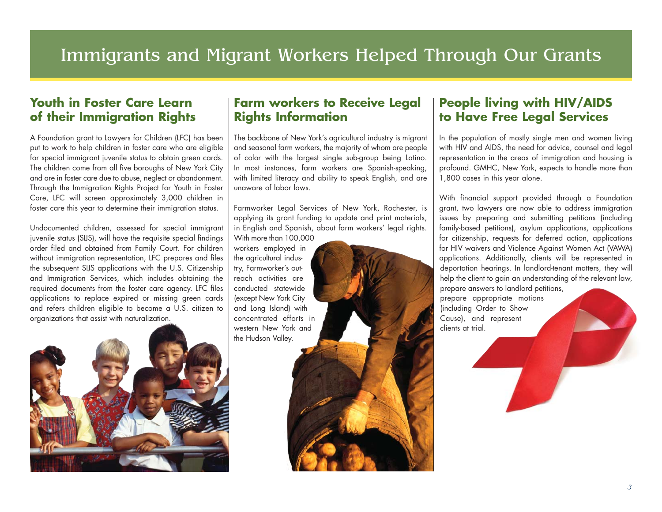### Immigrants and Migrant Workers Helped Through Our Grants

#### **Youth in Foster Care Learn of their Immigration Rights**

A Foundation grant to Lawyers for Children (LFC) has been put to work to help children in foster care who are eligible for special immigrant juvenile status to obtain green cards. The children come from all five boroughs of New York City and are in foster care due to abuse, neglect or abandonment. Through the Immigration Rights Project for Youth in Foster Care, LFC will screen approximately 3,000 children in foster care this year to determine their immigration status.

Undocumented children, assessed for special immigrant juvenile status (SIJS), will have the requisite special findings order filed and obtained from Family Court. For children without immigration representation, LFC prepares and files the subsequent SIJS applications with the U.S. Citizenship and Immigration Services, which includes obtaining the required documents from the foster care agency. LFC files applications to replace expired or missing green cards and refers children eligible to become a U.S. citizen to organizations that assist with naturalization.



#### **Farm workers to Receive Legal Rights Information**

The backbone of New York's agricultural industry is migrant and seasonal farm workers, the majority of whom are people of color with the largest single sub-group being Latino. In most instances, farm workers are Spanish-speaking, with limited literacy and ability to speak English, and are unaware of labor laws.

Farmworker Legal Services of New York, Rochester, is applying its grant funding to update and print materials, in English and Spanish, about farm workers' legal rights.

With more than 100,000 workers employed in the agricultural industry, Farmworker's outreach activities are conducted statewide (except New York City and Long Island) with concentrated efforts in western New York and the Hudson Valley.

#### **People living with HIV/AIDS to Have Free Legal Services**

In the population of mostly single men and women living with HIV and AIDS, the need for advice, counsel and legal representation in the areas of immigration and housing is profound. GMHC, New York, expects to handle more than 1,800 cases in this year alone.

With financial support provided through a Foundation grant, two lawyers are now able to address immigration issues by preparing and submitting petitions (including family-based petitions), asylum applications, applications for citizenship, requests for deferred action, applications for HIV waivers and Violence Against Women Act (VAWA) applications. Additionally, clients will be represented in deportation hearings. In landlord-tenant matters, they will help the client to gain an understanding of the relevant law, prepare answers to landlord petitions, prepare appropriate motions (including Order to Show Cause), and represent

clients at trial.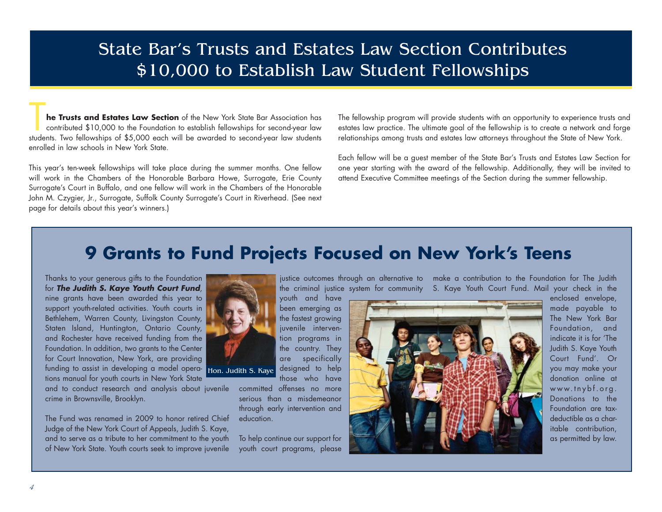### State Bar's Trusts and Estates Law Section Contributes \$10,000 to Establish Law Student Fellowships

**he Trusts and Estates Law Section** of the New York State Bar Association has contributed \$10,000 to the Foundation to establish fellowships for second-year law students. Two fellowships of \$5,000 each will be awarded to second-year law students enrolled in law schools in New York State.

This year's ten-week fellowships will take place during the summer months. One fellow will work in the Chambers of the Honorable Barbara Howe, Surrogate, Erie County Surrogate's Court in Buffalo, and one fellow will work in the Chambers of the Honorable John M. Czygier, Jr., Surrogate, Suffolk County Surrogate's Court in Riverhead. (See next page for details about this year's winners.)

The fellowship program will provide students with an opportunity to experience trusts and estates law practice. The ultimate goal of the fellowship is to create a network and forge relationships among trusts and estates law attorneys throughout the State of New York.

Each fellow will be a guest member of the State Bar's Trusts and Estates Law Section for one year starting with the award of the fellowship. Additionally, they will be invited to attend Executive Committee meetings of the Section during the summer fellowship.

#### **9 Grants to Fund Projects Focused on New York's Teens**

been emerging as the fastest growing juvenile intervention programs in the country. They are specifically designed to help those who have

Thanks to your generous gifts to the Foundation for *The Judith S. Kaye Youth Court Fund*, nine grants have been awarded this year to support youth-related activities. Youth courts in Bethlehem, Warren County, Livingston County, Staten Island, Huntington, Ontario County, and Rochester have received funding from the Foundation. In addition, two grants to the Center for Court Innovation, New York, are providing funding to assist in developing a model opera-Hon. Judith S. Kayetions manual for youth courts in New York State

and to conduct research and analysis about juvenile crime in Brownsville, Brooklyn.

The Fund was renamed in 2009 to honor retired Chief Judge of the New York Court of Appeals, Judith S. Kaye, and to serve as a tribute to her commitment to the youth of New York State. Youth courts seek to improve juvenile



committed offenses no more serious than a misdemeanor through early intervention and education.

To help continue our support for youth court programs, please

justice outcomes through an alternative to make a contribution to the Foundation for The Judith the criminal justice system for community S. Kaye Youth Court Fund. Mail your check in the youth and have

enclosed envelope, made payable to The New York Bar Foundation, and indicate it is for 'The Judith S. Kaye Youth Court Fund'. Or you may make your donation online at www.tnybf.org. Donations to the Foundation are taxdeductible as a charitable contribution, as permitted by law.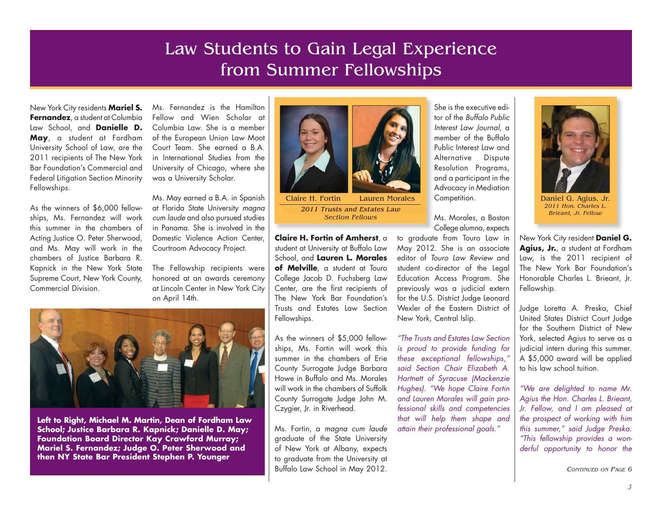### Law Students to Gain Legal Experience from Summer Fellowships

New York City residents **Mariel S. Fernandez**, a student at Columbia Law School, and **Danielle D. May**, a student at Fordham University School of Law, are the 2011 recipients of The New York Bar Foundation's Commercial and Federal Litigation Section Minority Fellowships.

As the winners of \$6,000 fellowships, Ms. Fernandez will work this summer in the chambers of Acting Justice O. Peter Sherwood, and Ms. May will work in the chambers of Justice Barbara R. Kapnick in the New York State Supreme Court, New York County, Commercial Division.

Ms. Fernandez is the Hamilton Fellow and Wien Scholar at Columbia Law. She is a member of the European Union Law Moot Court Team. She earned a B.A. in International Studies from the University of Chicago, where she was a University Scholar.

Ms. May earned a B.A. in Spanish at Florida State University *magna cum laude* and also pursued studies in Panama. She is involved in the Domestic Violence Action Center, Courtroom Advocacy Project.

The Fellowship recipients were honored at an awards ceremony at Lincoln Center in New York City on April 14th.



**Left to Right, Michael M. Martin, Dean of Fordham Law School; Justice Barbara R. Kapnick; Danielle D. May; Foundation Board Director Kay Crawford Murray; Mariel S. Fernandez; Judge O. Peter Sherwood and then NY State Bar President Stephen P. Younger**



*2011 Trusts and Estates Law Section Fellowsi F ll*

**Claire H. Fortin of Amherst**, a student at University at Buffalo Law School, and **Lauren L. Morales of Melville**, a student at Touro College Jacob D. Fuchsberg Law Center, are the first recipients of The New York Bar Foundation's Trusts and Estates Law Section Fellowships.

As the winners of \$5,000 fellowships, Ms. Fortin will work this summer in the chambers of Erie County Surrogate Judge Barbara Howe in Buffalo and Ms. Morales will work in the chambers of Suffolk County Surrogate Judge John M. Czygier, Jr. in Riverhead.

Ms. Fortin, a *magna cum laude* graduate of the State University of New York at Albany, expects to graduate from the University at Buffalo Law School in May 2012.

She is the executive editor of the *Buffalo Public Interest Law Journal*, <sup>a</sup> member of the Buffalo Public Interest Law and Alternative Dispute Resolution Programs, and a participant in the Advocacy in Mediation Competition. Lauren Morales Competition. | Daniel G. Agius, Jr.

> Ms. Morales, a Boston College alumna, expects

to graduate from Touro Law in May 2012. She is an associate editor of *Touro Law Review* and student co-director of the Legal Education Access Program. She previously was a judicial extern for the U.S. District Judge Leonard Wexler of the Eastern District of New York, Central Islip.

*"The Trusts and Estates Law Section is proud to provide funding for these exceptional fellowships," said Section Chair Elizabeth A. Hartnett of Syracuse (Mackenzie Hughes). "We hope Claire Fortin and Lauren Morales will gain professional skills and competencies that will help them shape and attain their professional goals."* 



*2011 Hon. Charles L. Brieant, Jr. Fellow*

New York City resident **Daniel G.**  Agius, Jr., a student at Fordham Law, is the 2011 recipient of The New York Bar Foundation's Honorable Charles L. Brieant, Jr. Fellowship.

Judge Loretta A. Preska, Chief United States District Court Judge for the Southern District of New York, selected Agius to serve as a judicial intern during this summer. A \$5,000 award will be applied to his law school tuition.

*"We are delighted to name Mr. Agius the Hon. Charles L. Brieant, Jr. Fellow, and I am pleased at the prospect of working with him this summer," said Judge Preska. "This fellowship provides a wonderful opportunity to honor the* 

*CONTINUED ON PAGE 6*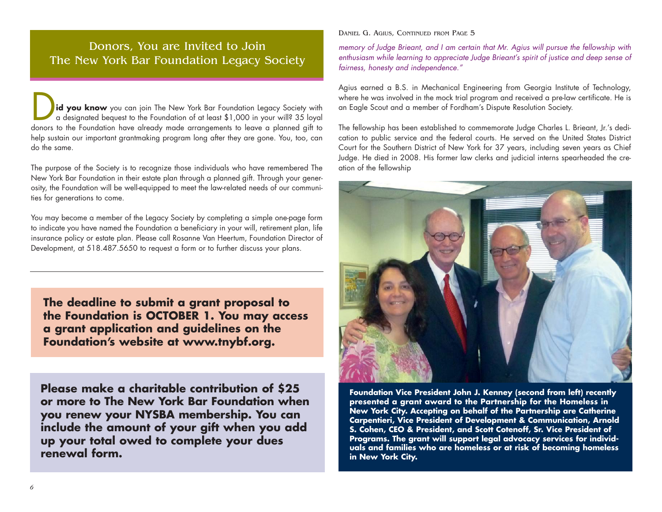#### Donors, You are Invited to Join The New York Bar Foundation Legacy Society

**id you know** you can join The New York Bar Foundation Legacy Society with a designated bequest to the Foundation of at least \$1,000 in your will? 35 loyal donors to the Foundation have already made arrangements to leave a planned gift to help sustain our important grantmaking program long after they are gone. You, too, can do the same.

The purpose of the Society is to recognize those individuals who have remembered The New York Bar Foundation in their estate plan through a planned gift. Through your generosity, the Foundation will be well-equipped to meet the law-related needs of our communities for generations to come.

You may become a member of the Legacy Society by completing a simple one-page form to indicate you have named the Foundation a beneficiary in your will, retirement plan, life insurance policy or estate plan. Please call Rosanne Van Heertum, Foundation Director of Development, at 518.487.5650 to request a form or to further discuss your plans.

**The deadline to submit a grant proposal to the Foundation is OCTOBER 1. You may access a grant application and guidelines on the Foundation's website at www.tnybf.org.** 

**Please make a charitable contribution of \$25 or more to The New York Bar Foundation when you renew your NYSBA membership. You can include the amount of your gift when you add up your total owed to complete your dues renewal form.** 

DANIEL G. AGIUS, CONTINUED FROM PAGE 5

*memory of Judge Brieant, and I am certain that Mr. Agius will pursue the fellowship with enthusiasm while learning to appreciate Judge Brieant's spirit of justice and deep sense of fairness, honesty and independence."*

Agius earned a B.S. in Mechanical Engineering from Georgia Institute of Technology, where he was involved in the mock trial program and received a pre-law certificate. He is an Eagle Scout and a member of Fordham's Dispute Resolution Society.

The fellowship has been established to commemorate Judge Charles L. Brieant, Jr.'s dedication to public service and the federal courts. He served on the United States District Court for the Southern District of New York for 37 years, including seven years as Chief Judge. He died in 2008. His former law clerks and judicial interns spearheaded the creation of the fellowship



**Foundation Vice President John J. Kenney (second from left) recently presented a grant award to the Partnership for the Homeless in New York City. Accepting on behalf of the Partnership are Catherine Carpentieri, Vice President of Development & Communication, Arnold S. Cohen, CEO & President, and Scott Cotenoff, Sr. Vice President of Programs. The grant will support legal advocacy services for individuals and families who are homeless or at risk of becoming homeless in New York City.**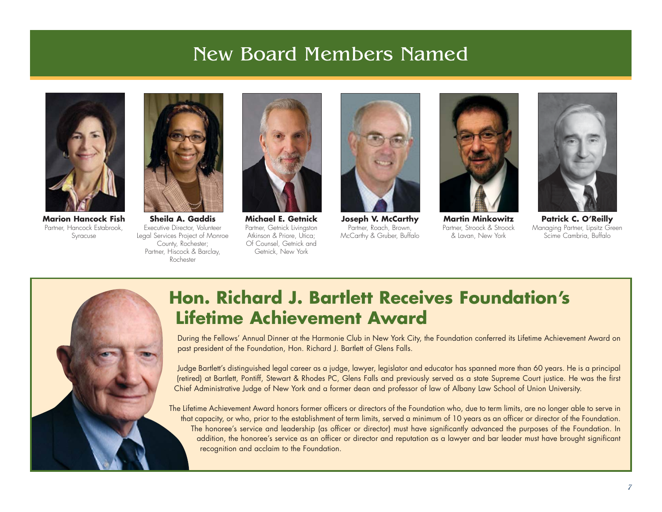### New Board Members Named



**Marion Hancock Fish**Partner, Hancock Estabrook, Syracuse



**Sheila A. Gaddis**Executive Director, Volunteer Legal Services Project of Monroe County, Rochester; Partner, Hiscock & Barclay, Rochester



**Michael E. Getnick**Partner, Getnick Livingston Atkinson & Priore, Utica; Of Counsel, Getnick and Getnick, New York



**Joseph V. McCarthy** Partner, Roach, Brown, McCarthy & Gruber, Buffalo



**Martin Minkowitz**Partner, Stroock & Stroock & Lavan, New York



**Patrick C. O'Reilly** Managing Partner, Lipsitz Green Scime Cambria, Buffalo



### **Hon. Richard J. Bartlett Receives Foundation's Lifetime Achievement Award**

During the Fellows' Annual Dinner at the Harmonie Club in New York City, the Foundation conferred its Lifetime Achievement Award on past president of the Foundation, Hon. Richard J. Bartlett of Glens Falls.

Judge Bartlett's distinguished legal career as a judge, lawyer, legislator and educator has spanned more than 60 years. He is a principal (retired) at Bartlett, Pontiff, Stewart & Rhodes PC, Glens Falls and previously served as a state Supreme Court justice. He was the first Chief Administrative Judge of New York and a former dean and professor of law of Albany Law School of Union University.

The Lifetime Achievement Award honors former officers or directors of the Foundation who, due to term limits, are no longer able to serve in that capacity, or who, prior to the establishment of term limits, served a minimum of 10 years as an officer or director of the Foundation. The honoree's service and leadership (as officer or director) must have significantly advanced the purposes of the Foundation. In addition, the honoree's service as an officer or director and reputation as a lawyer and bar leader must have brought significant recognition and acclaim to the Foundation.